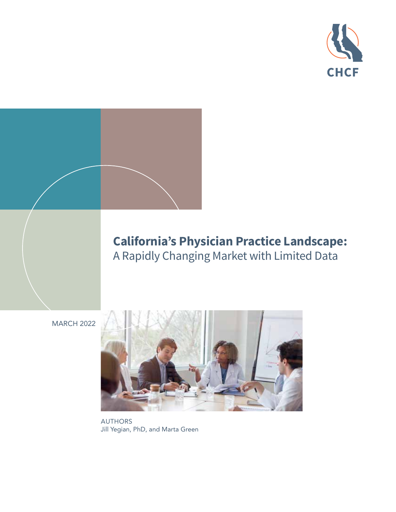



# **California's Physician Practice Landscape:** A Rapidly Changing Market with Limited Data

MARCH 2022



AUTHORS Jill Yegian, PhD, and Marta Green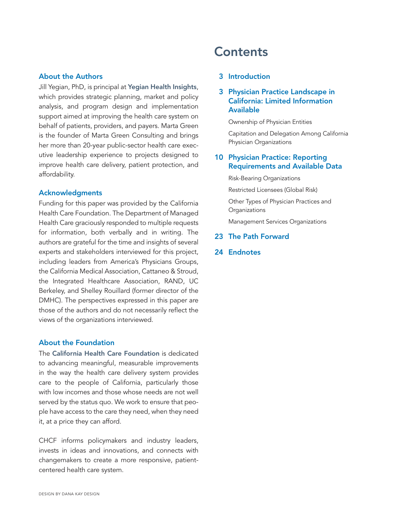### About the Authors

Jill Yegian, PhD, is principal at [Yegian Health Insights](https://yegianhealthinsights.com), which provides strategic planning, market and policy analysis, and program design and implementation support aimed at improving the health care system on behalf of patients, providers, and payers. Marta Green is the founder of Marta Green Consulting and brings her more than 20-year public-sector health care executive leadership experience to projects designed to improve health care delivery, patient protection, and affordability.

### Acknowledgments

Funding for this paper was provided by the California Health Care Foundation. The Department of Managed Health Care graciously responded to multiple requests for information, both verbally and in writing. The authors are grateful for the time and insights of several experts and stakeholders interviewed for this project, including leaders from America's Physicians Groups, the California Medical Association, Cattaneo & Stroud, the Integrated Healthcare Association, RAND, UC Berkeley, and Shelley Rouillard (former director of the DMHC). The perspectives expressed in this paper are those of the authors and do not necessarily reflect the views of the organizations interviewed.

### About the Foundation

The [California Health Care Foundation](http://www.chcf.org) is dedicated to advancing meaningful, measurable improvements in the way the health care delivery system provides care to the people of California, particularly those with low incomes and those whose needs are not well served by the status quo. We work to ensure that people have access to the care they need, when they need it, at a price they can afford.

CHCF informs policymakers and industry leaders, invests in ideas and innovations, and connects with changemakers to create a more responsive, patientcentered health care system.

## **Contents**

### 3 [Introduction](#page-2-0)

3 [Physician Practice Landscape in](#page-2-0)  [California: Limited Information](#page-2-0)  [Available](#page-2-0)

[Ownership of Physician Entities](#page-5-0)

[Capitation and Delegation Among California](#page-7-0)  [Physician Organizations](#page-7-0)

### 10 [Physician Practice: Reporting](#page-9-0)  [Requirements and Available Data](#page-9-0)

[Risk-Bearing Organizations](#page-11-0)

[Restricted Licensees \(Global Risk\)](#page-16-0)

[Other Types of Physician Practices and](#page-18-0)  **[Organizations](#page-18-0)** 

[Management Services Organizations](#page-20-0)

### 23 [The Path Forward](#page-22-0)

### 24 [Endnotes](#page-23-0)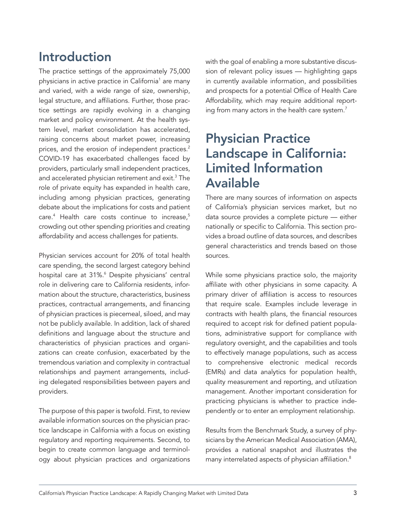# <span id="page-2-0"></span>Introduction

The practice settings of the approximately 75,000 physicians in active practice in California<sup>1</sup> are many and varied, with a wide range of size, ownership, legal structure, and affiliations. Further, those practice settings are rapidly evolving in a changing market and policy environment. At the health system level, market consolidation has accelerated, raising concerns about market power, increasing prices, and the erosion of independent practices.<sup>2</sup> COVID-19 has exacerbated challenges faced by providers, particularly small independent practices, and accelerated physician retirement and exit.<sup>3</sup> The role of private equity has expanded in health care, including among physician practices, generating debate about the implications for costs and patient care.<sup>4</sup> Health care costs continue to increase,<sup>5</sup> crowding out other spending priorities and creating affordability and access challenges for patients.

Physician services account for 20% of total health care spending, the second largest category behind hospital care at 31%.<sup>6</sup> Despite physicians' central role in delivering care to California residents, information about the structure, characteristics, business practices, contractual arrangements, and financing of physician practices is piecemeal, siloed, and may not be publicly available. In addition, lack of shared definitions and language about the structure and characteristics of physician practices and organizations can create confusion, exacerbated by the tremendous variation and complexity in contractual relationships and payment arrangements, including delegated responsibilities between payers and providers.

The purpose of this paper is twofold. First, to review available information sources on the physician practice landscape in California with a focus on existing regulatory and reporting requirements. Second, to begin to create common language and terminology about physician practices and organizations with the goal of enabling a more substantive discussion of relevant policy issues — highlighting gaps in currently available information, and possibilities and prospects for a potential Office of Health Care Affordability, which may require additional reporting from many actors in the health care system. $<sup>7</sup>$ </sup>

# Physician Practice Landscape in California: Limited Information Available

There are many sources of information on aspects of California's physician services market, but no data source provides a complete picture — either nationally or specific to California. This section provides a broad outline of data sources, and describes general characteristics and trends based on those sources.

While some physicians practice solo, the majority affiliate with other physicians in some capacity. A primary driver of affiliation is access to resources that require scale. Examples include leverage in contracts with health plans, the financial resources required to accept risk for defined patient populations, administrative support for compliance with regulatory oversight, and the capabilities and tools to effectively manage populations, such as access to comprehensive electronic medical records (EMRs) and data analytics for population health, quality measurement and reporting, and utilization management. Another important consideration for practicing physicians is whether to practice independently or to enter an employment relationship.

Results from the Benchmark Study, a survey of physicians by the American Medical Association (AMA), provides a national snapshot and illustrates the many interrelated aspects of physician affiliation.<sup>8</sup>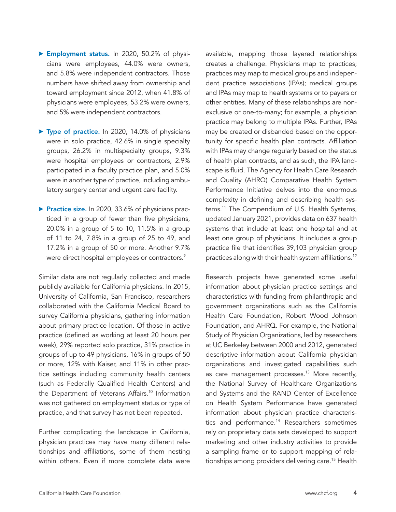- Employment status. In 2020, 50.2% of physicians were employees, 44.0% were owners, and 5.8% were independent contractors. Those numbers have shifted away from ownership and toward employment since 2012, when 41.8% of physicians were employees, 53.2% were owners, and 5% were independent contractors.
- Type of practice. In 2020, 14.0% of physicians were in solo practice, 42.6% in single specialty groups, 26.2% in multispecialty groups, 9.3% were hospital employees or contractors, 2.9% participated in a faculty practice plan, and 5.0% were in another type of practice, including ambulatory surgery center and urgent care facility.
- ▶ Practice size. In 2020, 33.6% of physicians practiced in a group of fewer than five physicians, 20.0% in a group of 5 to 10, 11.5% in a group of 11 to 24, 7.8% in a group of 25 to 49, and 17.2% in a group of 50 or more. Another 9.7% were direct hospital employees or contractors.<sup>9</sup>

Similar data are not regularly collected and made publicly available for California physicians. In 2015, University of California, San Francisco, researchers collaborated with the California Medical Board to survey California physicians, gathering information about primary practice location. Of those in active practice (defined as working at least 20 hours per week), 29% reported solo practice, 31% practice in groups of up to 49 physicians, 16% in groups of 50 or more, 12% with Kaiser, and 11% in other practice settings including community health centers (such as Federally Qualified Health Centers) and the Department of Veterans Affairs.<sup>10</sup> Information was not gathered on employment status or type of practice, and that survey has not been repeated.

Further complicating the landscape in California, physician practices may have many different relationships and affiliations, some of them nesting within others. Even if more complete data were

available, mapping those layered relationships creates a challenge. Physicians map to practices; practices may map to medical groups and independent practice associations (IPAs); medical groups and IPAs may map to health systems or to payers or other entities. Many of these relationships are nonexclusive or one-to-many; for example, a physician practice may belong to multiple IPAs. Further, IPAs may be created or disbanded based on the opportunity for specific health plan contracts. Affiliation with IPAs may change regularly based on the status of health plan contracts, and as such, the IPA landscape is fluid. The Agency for Health Care Research and Quality (AHRQ) Comparative Health System Performance Initiative delves into the enormous complexity in defining and describing health systems.<sup>11</sup> The Compendium of U.S. Health Systems, updated January 2021, provides data on 637 health systems that include at least one hospital and at least one group of physicians. It includes a group practice file that identifies 39,103 physician group practices along with their health system affiliations.<sup>12</sup>

Research projects have generated some useful information about physician practice settings and characteristics with funding from philanthropic and government organizations such as the California Health Care Foundation, Robert Wood Johnson Foundation, and AHRQ. For example, the National Study of Physician Organizations, led by researchers at UC Berkeley between 2000 and 2012, generated descriptive information about California physician organizations and investigated capabilities such as care management processes.<sup>13</sup> More recently, the National Survey of Healthcare Organizations and Systems and the RAND Center of Excellence on Health System Performance have generated information about physician practice characteristics and performance.<sup>14</sup> Researchers sometimes rely on proprietary data sets developed to support marketing and other industry activities to provide a sampling frame or to support mapping of relationships among providers delivering care.<sup>15</sup> Health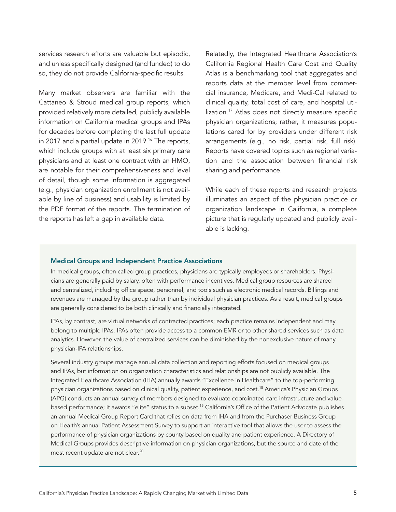services research efforts are valuable but episodic, and unless specifically designed (and funded) to do so, they do not provide California-specific results.

Many market observers are familiar with the Cattaneo & Stroud medical group reports, which provided relatively more detailed, publicly available information on California medical groups and IPAs for decades before completing the last full update in 2017 and a partial update in 2019.<sup>16</sup> The reports, which include groups with at least six primary care physicians and at least one contract with an HMO, are notable for their comprehensiveness and level of detail, though some information is aggregated (e.g., physician organization enrollment is not available by line of business) and usability is limited by the PDF format of the reports. The termination of the reports has left a gap in available data.

Relatedly, the Integrated Healthcare Association's California Regional Health Care Cost and Quality Atlas is a benchmarking tool that aggregates and reports data at the member level from commercial insurance, Medicare, and Medi-Cal related to clinical quality, total cost of care, and hospital utilization.<sup>17</sup> Atlas does not directly measure specific physician organizations; rather, it measures populations cared for by providers under different risk arrangements (e.g., no risk, partial risk, full risk). Reports have covered topics such as regional variation and the association between financial risk sharing and performance.

While each of these reports and research projects illuminates an aspect of the physician practice or organization landscape in California, a complete picture that is regularly updated and publicly available is lacking.

#### Medical Groups and Independent Practice Associations

In medical groups, often called group practices, physicians are typically employees or shareholders. Physicians are generally paid by salary, often with performance incentives. Medical group resources are shared and centralized, including office space, personnel, and tools such as electronic medical records. Billings and revenues are managed by the group rather than by individual physician practices. As a result, medical groups are generally considered to be both clinically and financially integrated.

IPAs, by contrast, are virtual networks of contracted practices; each practice remains independent and may belong to multiple IPAs. IPAs often provide access to a common EMR or to other shared services such as data analytics. However, the value of centralized services can be diminished by the nonexclusive nature of many physician-IPA relationships.

Several industry groups manage annual data collection and reporting efforts focused on medical groups and IPAs, but information on organization characteristics and relationships are not publicly available. The Integrated Healthcare Association (IHA) annually awards "Excellence in Healthcare" to the top-performing physician organizations based on clinical quality, patient experience, and cost.18 America's Physician Groups (APG) conducts an annual survey of members designed to evaluate coordinated care infrastructure and valuebased performance; it awards "elite" status to a subset.<sup>19</sup> California's Office of the Patient Advocate publishes an annual Medical Group Report Card that relies on data from IHA and from the Purchaser Business Group on Health's annual Patient Assessment Survey to support an interactive tool that allows the user to assess the performance of physician organizations by county based on quality and patient experience. A Directory of Medical Groups provides descriptive information on physician organizations, but the source and date of the most recent update are not clear.<sup>20</sup>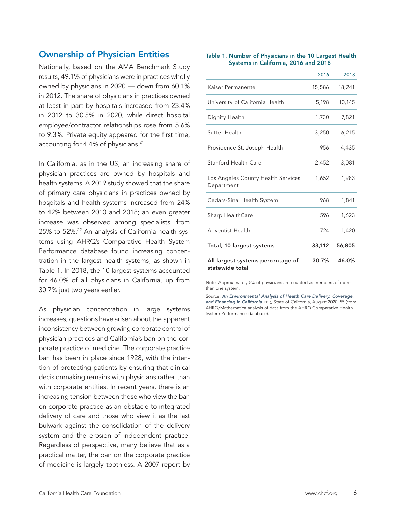### <span id="page-5-0"></span>Ownership of Physician Entities

Nationally, based on the AMA Benchmark Study results, 49.1% of physicians were in practices wholly owned by physicians in 2020 — down from 60.1% in 2012. The share of physicians in practices owned at least in part by hospitals increased from 23.4% in 2012 to 30.5% in 2020, while direct hospital employee/contractor relationships rose from 5.6% to 9.3%. Private equity appeared for the first time, accounting for 4.4% of physicians.<sup>21</sup>

In California, as in the US, an increasing share of physician practices are owned by hospitals and health systems. A 2019 study showed that the share of primary care physicians in practices owned by hospitals and health systems increased from 24% to 42% between 2010 and 2018; an even greater increase was observed among specialists, from 25% to 52%.<sup>22</sup> An analysis of California health systems using AHRQ's Comparative Health System Performance database found increasing concentration in the largest health systems, as shown in Table 1. In 2018, the 10 largest systems accounted for 46.0% of all physicians in California, up from 30.7% just two years earlier.

As physician concentration in large systems increases, questions have arisen about the apparent inconsistency between growing corporate control of physician practices and California's ban on the corporate practice of medicine. The corporate practice ban has been in place since 1928, with the intention of protecting patients by ensuring that clinical decisionmaking remains with physicians rather than with corporate entities. In recent years, there is an increasing tension between those who view the ban on corporate practice as an obstacle to integrated delivery of care and those who view it as the last bulwark against the consolidation of the delivery system and the erosion of independent practice. Regardless of perspective, many believe that as a practical matter, the ban on the corporate practice of medicine is largely toothless. A 2007 report by

#### Table 1. Number of Physicians in the 10 Largest Health Systems in California, 2016 and 2018

|                                                      | 2016   | 2018   |
|------------------------------------------------------|--------|--------|
| Kaiser Permanente                                    | 15,586 | 18,241 |
| University of California Health                      | 5,198  | 10,145 |
| Dignity Health                                       | 1,730  | 7,821  |
| Sutter Health                                        | 3,250  | 6,215  |
| Providence St. Joseph Health                         | 956    | 4,435  |
| Stanford Health Care                                 | 2,452  | 3,081  |
| Los Angeles County Health Services<br>Department     | 1,652  | 1,983  |
| Cedars-Sinai Health System                           | 968    | 1,841  |
| Sharp HealthCare                                     | 596    | 1,623  |
| Adventist Health                                     | 724    | 1,420  |
| Total, 10 largest systems                            | 33,112 | 56,805 |
| All largest systems percentage of<br>statewide total | 30.7%  | 46.0%  |

Note: Approximately 5% of physicians are counted as members of more than one system.

Source: *[An Environmental Analysis of Health Care Delivery, Coverage,](https://cdn-west-prod-chhs-01.dsh.ca.gov/chhs/uploads/2020/08/24133724/Healthy-California-for-All-Environmental-Analysis-Final-August-24-2020.pdf)  [and Financing in California](https://cdn-west-prod-chhs-01.dsh.ca.gov/chhs/uploads/2020/08/24133724/Healthy-California-for-All-Environmental-Analysis-Final-August-24-2020.pdf)* (PDF), State of California, August 2020, 55 (from AHRQ/Mathematica analysis of data from the AHRQ Comparative Health System Performance database).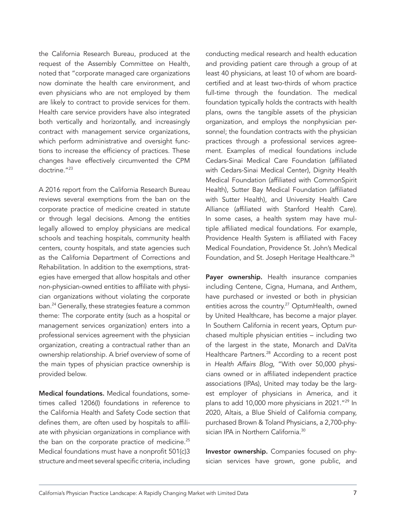the California Research Bureau, produced at the request of the Assembly Committee on Health, noted that "corporate managed care organizations now dominate the health care environment, and even physicians who are not employed by them are likely to contract to provide services for them. Health care service providers have also integrated both vertically and horizontally, and increasingly contract with management service organizations, which perform administrative and oversight functions to increase the efficiency of practices. These changes have effectively circumvented the CPM doctrine."23

A 2016 report from the California Research Bureau reviews several exemptions from the ban on the corporate practice of medicine created in statute or through legal decisions. Among the entities legally allowed to employ physicians are medical schools and teaching hospitals, community health centers, county hospitals, and state agencies such as the California Department of Corrections and Rehabilitation. In addition to the exemptions, strategies have emerged that allow hospitals and other non-physician-owned entities to affiliate with physician organizations without violating the corporate ban.24 Generally, these strategies feature a common theme: The corporate entity (such as a hospital or management services organization) enters into a professional services agreement with the physician organization, creating a contractual rather than an ownership relationship. A brief overview of some of the main types of physician practice ownership is provided below.

Medical foundations. Medical foundations, sometimes called 1206(l) foundations in reference to the California Health and Safety Code section that defines them, are often used by hospitals to affiliate with physician organizations in compliance with the ban on the corporate practice of medicine. $25$ Medical foundations must have a nonprofit 501(c)3 structure and meet several specific criteria, including

conducting medical research and health education and providing patient care through a group of at least 40 physicians, at least 10 of whom are boardcertified and at least two-thirds of whom practice full-time through the foundation. The medical foundation typically holds the contracts with health plans, owns the tangible assets of the physician organization, and employs the nonphysician personnel; the foundation contracts with the physician practices through a professional services agreement. Examples of medical foundations include Cedars-Sinai Medical Care Foundation (affiliated with Cedars-Sinai Medical Center), Dignity Health Medical Foundation (affiliated with CommonSpirit Health), Sutter Bay Medical Foundation (affiliated with Sutter Health), and University Health Care Alliance (affiliated with Stanford Health Care). In some cases, a health system may have multiple affiliated medical foundations. For example, Providence Health System is affiliated with Facey Medical Foundation, Providence St. John's Medical Foundation, and St. Joseph Heritage Healthcare.<sup>26</sup>

Payer ownership. Health insurance companies including Centene, Cigna, Humana, and Anthem, have purchased or invested or both in physician entities across the country.<sup>27</sup> OptumHealth, owned by United Healthcare, has become a major player. In Southern California in recent years, Optum purchased multiple physician entities – including two of the largest in the state, Monarch and DaVita Healthcare Partners.<sup>28</sup> According to a recent post in *Health Affairs Blog*, "With over 50,000 physicians owned or in affiliated independent practice associations (IPAs), United may today be the largest employer of physicians in America, and it plans to add 10,000 more physicians in 2021."<sup>29</sup> In 2020, Altais, a Blue Shield of California company, purchased Brown & Toland Physicians, a 2,700-physician IPA in Northern California.<sup>30</sup>

Investor ownership. Companies focused on physician services have grown, gone public, and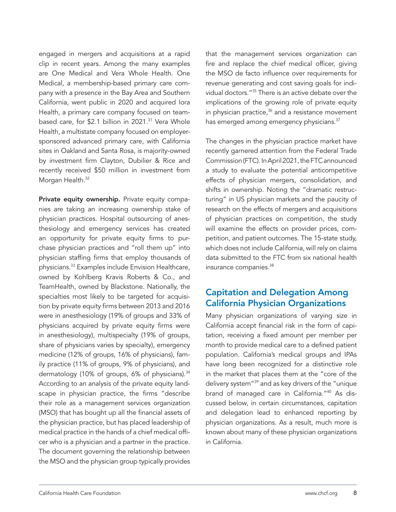<span id="page-7-0"></span>engaged in mergers and acquisitions at a rapid clip in recent years. Among the many examples are One Medical and Vera Whole Health. One Medical, a membership-based primary care company with a presence in the Bay Area and Southern California, went public in 2020 and acquired Iora Health, a primary care company focused on teambased care, for \$2.1 billion in 2021.<sup>31</sup> Vera Whole Health, a multistate company focused on employersponsored advanced primary care, with California sites in Oakland and Santa Rosa, is majority-owned by investment firm Clayton, Dubilier & Rice and recently received \$50 million in investment from Morgan Health.<sup>32</sup>

Private equity ownership. Private equity companies are taking an increasing ownership stake of physician practices. Hospital outsourcing of anesthesiology and emergency services has created an opportunity for private equity firms to purchase physician practices and "roll them up" into physician staffing firms that employ thousands of physicians.33 Examples include Envision Healthcare, owned by Kohlberg Kravis Roberts & Co., and TeamHealth, owned by Blackstone. Nationally, the specialties most likely to be targeted for acquisition by private equity firms between 2013 and 2016 were in anesthesiology (19% of groups and 33% of physicians acquired by private equity firms were in anesthesiology), multispecialty (19% of groups, share of physicians varies by specialty), emergency medicine (12% of groups, 16% of physicians), family practice (11% of groups, 9% of physicians), and dermatology (10% of groups, 6% of physicians).<sup>34</sup> According to an analysis of the private equity landscape in physician practice, the firms "describe their role as a management services organization (MSO) that has bought up all the financial assets of the physician practice, but has placed leadership of medical practice in the hands of a chief medical officer who is a physician and a partner in the practice. The document governing the relationship between the MSO and the physician group typically provides

that the management services organization can fire and replace the chief medical officer, giving the MSO de facto influence over requirements for revenue generating and cost saving goals for individual doctors."35 There is an active debate over the implications of the growing role of private equity in physician practice, $36$  and a resistance movement has emerged among emergency physicians.<sup>37</sup>

The changes in the physician practice market have recently garnered attention from the Federal Trade Commission (FTC). In April 2021, the FTC announced a study to evaluate the potential anticompetitive effects of physician mergers, consolidation, and shifts in ownership. Noting the "dramatic restructuring" in US physician markets and the paucity of research on the effects of mergers and acquisitions of physician practices on competition, the study will examine the effects on provider prices, competition, and patient outcomes. The 15-state study, which does not include California, will rely on claims data submitted to the FTC from six national health insurance companies.38

### Capitation and Delegation Among California Physician Organizations

Many physician organizations of varying size in California accept financial risk in the form of capitation, receiving a fixed amount per member per month to provide medical care to a defined patient population. California's medical groups and IPAs have long been recognized for a distinctive role in the market that places them at the "core of the delivery system"39 and as key drivers of the "unique brand of managed care in California."40 As discussed below, in certain circumstances, capitation and delegation lead to enhanced reporting by physician organizations. As a result, much more is known about many of these physician organizations in California.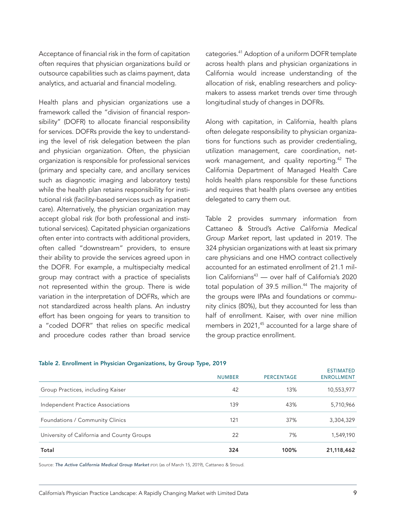Acceptance of financial risk in the form of capitation often requires that physician organizations build or outsource capabilities such as claims payment, data analytics, and actuarial and financial modeling.

Health plans and physician organizations use a framework called the "division of financial responsibility" (DOFR) to allocate financial responsibility for services. DOFRs provide the key to understanding the level of risk delegation between the plan and physician organization. Often, the physician organization is responsible for professional services (primary and specialty care, and ancillary services such as diagnostic imaging and laboratory tests) while the health plan retains responsibility for institutional risk (facility-based services such as inpatient care). Alternatively, the physician organization may accept global risk (for both professional and institutional services). Capitated physician organizations often enter into contracts with additional providers, often called "downstream" providers, to ensure their ability to provide the services agreed upon in the DOFR. For example, a multispecialty medical group may contract with a practice of specialists not represented within the group. There is wide variation in the interpretation of DOFRs, which are not standardized across health plans. An industry effort has been ongoing for years to transition to a "coded DOFR" that relies on specific medical and procedure codes rather than broad service

categories.<sup>41</sup> Adoption of a uniform DOFR template across health plans and physician organizations in California would increase understanding of the allocation of risk, enabling researchers and policymakers to assess market trends over time through longitudinal study of changes in DOFRs.

Along with capitation, in California, health plans often delegate responsibility to physician organizations for functions such as provider credentialing, utilization management, care coordination, network management, and quality reporting.<sup>42</sup> The California Department of Managed Health Care holds health plans responsible for these functions and requires that health plans oversee any entities delegated to carry them out.

Table 2 provides summary information from Cattaneo & Stroud's *Active California Medical Group Market* report, last updated in 2019. The 324 physician organizations with at least six primary care physicians and one HMO contract collectively accounted for an estimated enrollment of 21.1 million Californians<sup>43</sup> — over half of California's 2020 total population of 39.5 million.<sup>44</sup> The majority of the groups were IPAs and foundations or community clinics (80%), but they accounted for less than half of enrollment. Kaiser, with over nine million members in 2021,<sup>45</sup> accounted for a large share of the group practice enrollment.

| Total                                      | 324           | 100%              | 21,118,462                            |
|--------------------------------------------|---------------|-------------------|---------------------------------------|
|                                            |               |                   |                                       |
| University of California and County Groups | 22            | 7%                | 1,549,190                             |
| Foundations / Community Clinics            | 121           | 37%               | 3,304,329                             |
| Independent Practice Associations          | 139           | 43%               | 5,710,966                             |
| Group Practices, including Kaiser          | 42            | 13%               | 10,553,977                            |
|                                            | <b>NUMBER</b> | <b>PERCENTAGE</b> | <b>ESTIMATED</b><br><b>ENROLLMENT</b> |

#### Table 2. Enrollment in Physician Organizations, by Group Type, 2019

Source: *[The Active California Medical Group Market](http://cattaneostroud.com/wp-content/uploads/2017/05/1-Web.pdf)* (PDF) (as of March 15, 2019), Cattaneo & Stroud.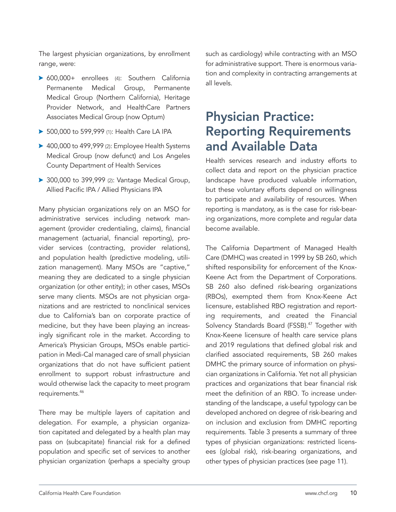<span id="page-9-0"></span>The largest physician organizations, by enrollment range, were:

- ▶ 600,000+ enrollees (4): Southern California Permanente Medical Group, Permanente Medical Group (Northern California), Heritage Provider Network, and HealthCare Partners Associates Medical Group (now Optum)
- **500,000 to 599,999 (1): Health Care LA IPA**
- $\blacktriangleright$  400,000 to 499,999 (2): Employee Health Systems Medical Group (now defunct) and Los Angeles County Department of Health Services
- $\triangleright$  300,000 to 399,999 (2): Vantage Medical Group, Allied Pacific IPA / Allied Physicians IPA

Many physician organizations rely on an MSO for administrative services including network management (provider credentialing, claims), financial management (actuarial, financial reporting), provider services (contracting, provider relations), and population health (predictive modeling, utilization management). Many MSOs are "captive," meaning they are dedicated to a single physician organization (or other entity); in other cases, MSOs serve many clients. MSOs are not physician organizations and are restricted to nonclinical services due to California's ban on corporate practice of medicine, but they have been playing an increasingly significant role in the market. According to America's Physician Groups, MSOs enable participation in Medi-Cal managed care of small physician organizations that do not have sufficient patient enrollment to support robust infrastructure and would otherwise lack the capacity to meet program requirements.<sup>46</sup>

There may be multiple layers of capitation and delegation. For example, a physician organization capitated and delegated by a health plan may pass on (subcapitate) financial risk for a defined population and specific set of services to another physician organization (perhaps a specialty group such as cardiology) while contracting with an MSO for administrative support. There is enormous variation and complexity in contracting arrangements at all levels.

# Physician Practice: Reporting Requirements and Available Data

Health services research and industry efforts to collect data and report on the physician practice landscape have produced valuable information, but these voluntary efforts depend on willingness to participate and availability of resources. When reporting is mandatory, as is the case for risk-bearing organizations, more complete and regular data become available.

The California Department of Managed Health Care (DMHC) was created in 1999 by SB 260, which shifted responsibility for enforcement of the Knox-Keene Act from the Department of Corporations. SB 260 also defined risk-bearing organizations (RBOs), exempted them from Knox-Keene Act licensure, established RBO registration and reporting requirements, and created the Financial Solvency Standards Board (FSSB).<sup>47</sup> Together with Knox-Keene licensure of health care service plans and 2019 regulations that defined global risk and clarified associated requirements, SB 260 makes DMHC the primary source of information on physician organizations in California. Yet not all physician practices and organizations that bear financial risk meet the definition of an RBO. To increase understanding of the landscape, a useful typology can be developed anchored on degree of risk-bearing and on inclusion and exclusion from DMHC reporting requirements. Table 3 presents a summary of three types of physician organizations: restricted licensees (global risk), risk-bearing organizations, and other types of physician practices (see page 11).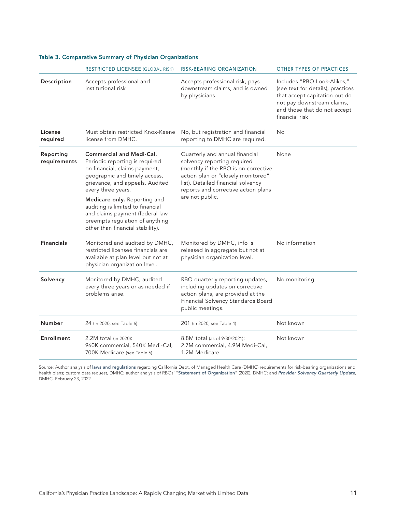### Table 3. Comparative Summary of Physician Organizations

|                           | <b>RESTRICTED LICENSEE (GLOBAL RISK)</b>                                                                                                                                                     | RISK-BEARING ORGANIZATION                                                                                                                                                                                                | OTHER TYPES OF PRACTICES                                                                                                                                                          |
|---------------------------|----------------------------------------------------------------------------------------------------------------------------------------------------------------------------------------------|--------------------------------------------------------------------------------------------------------------------------------------------------------------------------------------------------------------------------|-----------------------------------------------------------------------------------------------------------------------------------------------------------------------------------|
| Description               | Accepts professional and<br>institutional risk                                                                                                                                               | Accepts professional risk, pays<br>downstream claims, and is owned<br>by physicians                                                                                                                                      | Includes "RBO Look-Alikes,"<br>(see text for details), practices<br>that accept capitation but do<br>not pay downstream claims,<br>and those that do not accept<br>financial risk |
| License<br>required       | Must obtain restricted Knox-Keene<br>license from DMHC.                                                                                                                                      | No, but registration and financial<br>reporting to DMHC are required.                                                                                                                                                    | No                                                                                                                                                                                |
| Reporting<br>requirements | <b>Commercial and Medi-Cal.</b><br>Periodic reporting is required<br>on financial, claims payment,<br>geographic and timely access,<br>grievance, and appeals. Audited<br>every three years. | Quarterly and annual financial<br>solvency reporting required<br>(monthly if the RBO is on corrective<br>action plan or "closely monitored"<br>list). Detailed financial solvency<br>reports and corrective action plans | None                                                                                                                                                                              |
|                           | Medicare only. Reporting and<br>auditing is limited to financial<br>and claims payment (federal law<br>preempts regulation of anything<br>other than financial stability).                   | are not public.                                                                                                                                                                                                          |                                                                                                                                                                                   |
| <b>Financials</b>         | Monitored and audited by DMHC,<br>restricted licensee financials are<br>available at plan level but not at<br>physician organization level.                                                  | Monitored by DMHC, info is<br>released in aggregate but not at<br>physician organization level.                                                                                                                          | No information                                                                                                                                                                    |
| Solvency                  | Monitored by DMHC, audited<br>every three years or as needed if<br>problems arise.                                                                                                           | RBO quarterly reporting updates,<br>including updates on corrective<br>action plans, are provided at the<br>Financial Solvency Standards Board<br>public meetings.                                                       | No monitoring                                                                                                                                                                     |
| <b>Number</b>             | 24 (in 2020, see Table 6)                                                                                                                                                                    | 201 (in 2020, see Table 4)                                                                                                                                                                                               | Not known                                                                                                                                                                         |
| Enrollment                | 2.2M total (in 2020):<br>960K commercial, 540K Medi-Cal,<br>700K Medicare (see Table 6)                                                                                                      | 8.8M total (as of 9/30/2021):<br>2.7M commercial, 4.9M Medi-Cal,<br>1.2M Medicare                                                                                                                                        | Not known                                                                                                                                                                         |

Source: Author analysis of [laws and regulations](https://www.dmhc.ca.gov/AbouttheDMHC/LawsRegulations.aspx) regarding California Dept. of Managed Health Care (DMHC) requirements for risk-bearing organizations and health plans; custom data request, DMHC; author analysis of RBOs' "[Statement of Organization](https://wpso.dmhc.ca.gov/ProviderReports/statorg.aspx)" (2020), DMHC; and *[Provider Solvency Quarterly Update](https://www.dmhc.ca.gov/Portals/0/Docs/DO/FSSB Feb 2022/AgendaItem9_ProviderSolvencyQuarterlyUpdate.pdf?ver=2022-02-22-150154-353)*, DMHC, February 23, 2022.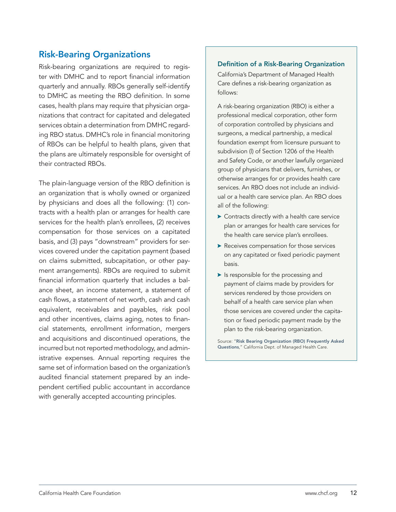### <span id="page-11-0"></span>Risk-Bearing Organizations

Risk-bearing organizations are required to register with DMHC and to report financial information quarterly and annually. RBOs generally self-identify to DMHC as meeting the RBO definition. In some cases, health plans may require that physician organizations that contract for capitated and delegated services obtain a determination from DMHC regarding RBO status. DMHC's role in financial monitoring of RBOs can be helpful to health plans, given that the plans are ultimately responsible for oversight of their contracted RBOs.

The plain-language version of the RBO definition is an organization that is wholly owned or organized by physicians and does all the following: (1) contracts with a health plan or arranges for health care services for the health plan's enrollees, (2) receives compensation for those services on a capitated basis, and (3) pays "downstream" providers for services covered under the capitation payment (based on claims submitted, subcapitation, or other payment arrangements). RBOs are required to submit financial information quarterly that includes a balance sheet, an income statement, a statement of cash flows, a statement of net worth, cash and cash equivalent, receivables and payables, risk pool and other incentives, claims aging, notes to financial statements, enrollment information, mergers and acquisitions and discontinued operations, the incurred but not reported methodology, and administrative expenses. Annual reporting requires the same set of information based on the organization's audited financial statement prepared by an independent certified public accountant in accordance with generally accepted accounting principles.

### Definition of a Risk-Bearing Organization

California's Department of Managed Health Care defines a risk-bearing organization as follows:

A risk-bearing organization (RBO) is either a professional medical corporation, other form of corporation controlled by physicians and surgeons, a medical partnership, a medical foundation exempt from licensure pursuant to subdivision (l) of Section 1206 of the Health and Safety Code, or another lawfully organized group of physicians that delivers, furnishes, or otherwise arranges for or provides health care services. An RBO does not include an individual or a health care service plan. An RBO does all of the following:

- $\triangleright$  Contracts directly with a health care service plan or arranges for health care services for the health care service plan's enrollees.
- $\blacktriangleright$  Receives compensation for those services on any capitated or fixed periodic payment basis.
- $\blacktriangleright$  Is responsible for the processing and payment of claims made by providers for services rendered by those providers on behalf of a health care service plan when those services are covered under the capitation or fixed periodic payment made by the plan to the risk-bearing organization.

Source: "[Risk Bearing Organization \(RBO\) Frequently Asked](https://www.dmhc.ca.gov/LicensingReporting/RiskBearingOrganizations/RBOFrequentlyAskedQuestions.aspx)  [Questions](https://www.dmhc.ca.gov/LicensingReporting/RiskBearingOrganizations/RBOFrequentlyAskedQuestions.aspx)," California Dept. of Managed Health Care.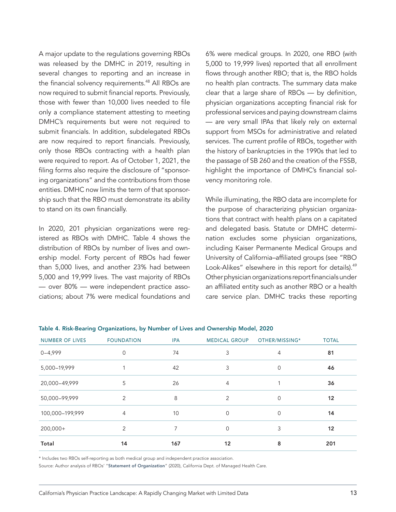A major update to the regulations governing RBOs was released by the DMHC in 2019, resulting in several changes to reporting and an increase in the financial solvency requirements.<sup>48</sup> All RBOs are now required to submit financial reports. Previously, those with fewer than 10,000 lives needed to file only a compliance statement attesting to meeting DMHC's requirements but were not required to submit financials. In addition, subdelegated RBOs are now required to report financials. Previously, only those RBOs contracting with a health plan were required to report. As of October 1, 2021, the filing forms also require the disclosure of "sponsoring organizations" and the contributions from those entities. DMHC now limits the term of that sponsorship such that the RBO must demonstrate its ability to stand on its own financially.

In 2020, 201 physician organizations were registered as RBOs with DMHC. Table 4 shows the distribution of RBOs by number of lives and ownership model. Forty percent of RBOs had fewer than 5,000 lives, and another 23% had between 5,000 and 19,999 lives. The vast majority of RBOs — over 80% — were independent practice associations; about 7% were medical foundations and

6% were medical groups. In 2020, one RBO (with 5,000 to 19,999 lives) reported that all enrollment flows through another RBO; that is, the RBO holds no health plan contracts. The summary data make clear that a large share of RBOs — by definition, physician organizations accepting financial risk for professional services and paying downstream claims — are very small IPAs that likely rely on external support from MSOs for administrative and related services. The current profile of RBOs, together with the history of bankruptcies in the 1990s that led to the passage of SB 260 and the creation of the FSSB, highlight the importance of DMHC's financial solvency monitoring role.

While illuminating, the RBO data are incomplete for the purpose of characterizing physician organizations that contract with health plans on a capitated and delegated basis. Statute or DMHC determination excludes some physician organizations, including Kaiser Permanente Medical Groups and University of California–affiliated groups (see "RBO Look-Alikes" elsewhere in this report for details).<sup>49</sup> Other physician organizations report financials under an affiliated entity such as another RBO or a health care service plan. DMHC tracks these reporting

| <b>NUMBER OF LIVES</b> | <b>FOUNDATION</b> | <b>IPA</b> | <b>MEDICAL GROUP</b> | OTHER/MISSING* | <b>TOTAL</b> |
|------------------------|-------------------|------------|----------------------|----------------|--------------|
| $0 - 4,999$            | 0                 | 74         | 3                    | 4              | 81           |
| 5,000-19,999           |                   | 42         | 3                    | 0              | 46           |
| 20,000-49,999          | 5                 | 26         | 4                    |                | 36           |
| 50,000-99,999          | 2                 | 8          | 2                    | 0              | 12           |
| 100,000-199,999        | $\overline{4}$    | 10         | 0                    | 0              | 14           |
| 200,000+               | 2                 | 7          | $\Omega$             | 3              | 12           |
| Total                  | 14                | 167        | 12                   | 8              | 201          |

\* Includes two RBOs self-reporting as both medical group and independent practice association.

Source: Author analysis of RBOs' "[Statement of Organization](https://wpso.dmhc.ca.gov/ProviderReports/statorg.aspx)" (2020), California Dept. of Managed Health Care.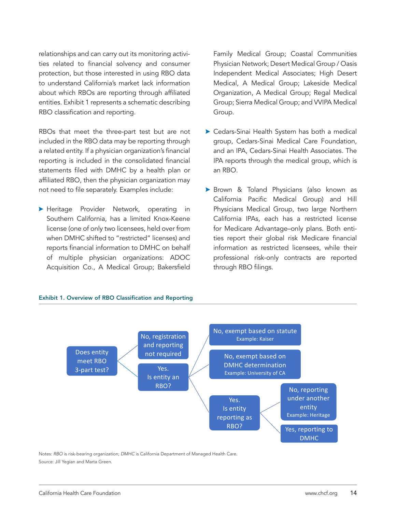relationships and can carry out its monitoring activities related to financial solvency and consumer protection, but those interested in using RBO data to understand California's market lack information about which RBOs are reporting through affiliated entities. Exhibit 1 represents a schematic describing RBO classification and reporting.

RBOs that meet the three-part test but are not included in the RBO data may be reporting through a related entity. If a physician organization's financial reporting is included in the consolidated financial statements filed with DMHC by a health plan or affiliated RBO, then the physician organization may not need to file separately. Examples include:

**>** Heritage Provider Network, operating in Southern California, has a limited Knox-Keene license (one of only two licensees, held over from when DMHC shifted to "restricted" licenses) and reports financial information to DMHC on behalf of multiple physician organizations: ADOC Acquisition Co., A Medical Group; Bakersfield Family Medical Group; Coastal Communities Physician Network; Desert Medical Group / Oasis Independent Medical Associates; High Desert Medical, A Medical Group; Lakeside Medical Organization, A Medical Group; Regal Medical Group; Sierra Medical Group; and VVIPA Medical Group.

- **>** Cedars-Sinai Health System has both a medical group, Cedars-Sinai Medical Care Foundation, and an IPA, Cedars-Sinai Health Associates. The IPA reports through the medical group, which is an RBO.
- **>** Brown & Toland Physicians (also known as California Pacific Medical Group) and Hill Physicians Medical Group, two large Northern California IPAs, each has a restricted license for Medicare Advantage–only plans. Both entities report their global risk Medicare financial information as restricted licensees, while their professional risk-only contracts are reported through RBO filings.

### Exhibit 1. Overview of RBO Classification and Reporting



Notes: *RBO* is risk-bearing organization; *DMHC* is California Department of Managed Health Care. Source: Jill Yegian and Marta Green.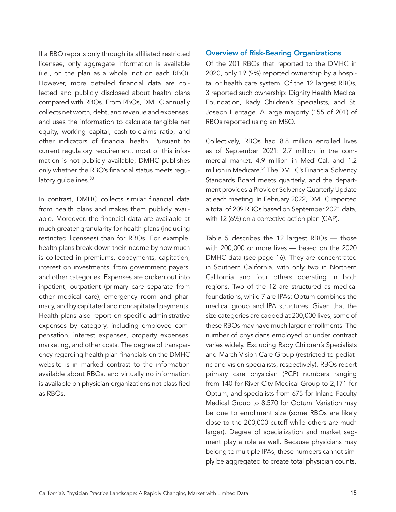If a RBO reports only through its affiliated restricted licensee, only aggregate information is available (i.e., on the plan as a whole, not on each RBO). However, more detailed financial data are collected and publicly disclosed about health plans compared with RBOs. From RBOs, DMHC annually collects net worth, debt, and revenue and expenses, and uses the information to calculate tangible net equity, working capital, cash-to-claims ratio, and other indicators of financial health. Pursuant to current regulatory requirement, most of this information is not publicly available; DMHC publishes only whether the RBO's financial status meets regulatory quidelines.<sup>50</sup>

In contrast, DMHC collects similar financial data from health plans and makes them publicly available. Moreover, the financial data are available at much greater granularity for health plans (including restricted licensees) than for RBOs. For example, health plans break down their income by how much is collected in premiums, copayments, capitation, interest on investments, from government payers, and other categories. Expenses are broken out into inpatient, outpatient (primary care separate from other medical care), emergency room and pharmacy, and by capitated and noncapitated payments. Health plans also report on specific administrative expenses by category, including employee compensation, interest expenses, property expenses, marketing, and other costs. The degree of transparency regarding health plan financials on the DMHC website is in marked contrast to the information available about RBOs, and virtually no information is available on physician organizations not classified as RBOs.

### Overview of Risk-Bearing Organizations

Of the 201 RBOs that reported to the DMHC in 2020, only 19 (9%) reported ownership by a hospital or health care system. Of the 12 largest RBOs, 3 reported such ownership: Dignity Health Medical Foundation, Rady Children's Specialists, and St. Joseph Heritage. A large majority (155 of 201) of RBOs reported using an MSO.

Collectively, RBOs had 8.8 million enrolled lives as of September 2021: 2.7 million in the commercial market, 4.9 million in Medi-Cal, and 1.2 million in Medicare.<sup>51</sup> The DMHC's Financial Solvency Standards Board meets quarterly, and the department provides a Provider Solvency Quarterly Update at each meeting. In February 2022, DMHC reported a total of 209 RBOs based on September 2021 data, with 12 (6%) on a corrective action plan (CAP).

Table 5 describes the 12 largest RBOs — those with 200,000 or more lives — based on the 2020 DMHC data (see page 16). They are concentrated in Southern California, with only two in Northern California and four others operating in both regions. Two of the 12 are structured as medical foundations, while 7 are IPAs; Optum combines the medical group and IPA structures. Given that the size categories are capped at 200,000 lives, some of these RBOs may have much larger enrollments. The number of physicians employed or under contract varies widely. Excluding Rady Children's Specialists and March Vision Care Group (restricted to pediatric and vision specialists, respectively), RBOs report primary care physician (PCP) numbers ranging from 140 for River City Medical Group to 2,171 for Optum, and specialists from 675 for Inland Faculty Medical Group to 8,570 for Optum. Variation may be due to enrollment size (some RBOs are likely close to the 200,000 cutoff while others are much larger). Degree of specialization and market segment play a role as well. Because physicians may belong to multiple IPAs, these numbers cannot simply be aggregated to create total physician counts.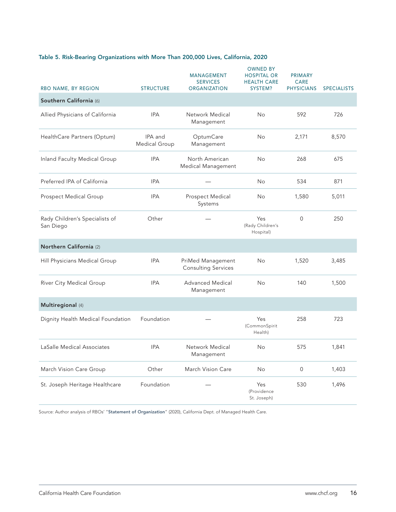#### Table 5. Risk-Bearing Organizations with More Than 200,000 Lives, California, 2020

|                                             | <b>STRUCTURE</b>         | <b>MANAGEMENT</b><br><b>SERVICES</b><br><b>ORGANIZATION</b> | <b>OWNED BY</b><br><b>HOSPITAL OR</b><br><b>HEALTH CARE</b><br>SYSTEM? | <b>PRIMARY</b><br><b>CARE</b><br><b>PHYSICIANS</b> |                    |
|---------------------------------------------|--------------------------|-------------------------------------------------------------|------------------------------------------------------------------------|----------------------------------------------------|--------------------|
| RBO NAME, BY REGION                         |                          |                                                             |                                                                        |                                                    | <b>SPECIALISTS</b> |
| Southern California (6)                     |                          |                                                             |                                                                        |                                                    |                    |
| Allied Physicians of California             | <b>IPA</b>               | Network Medical<br>Management                               | No                                                                     | 592                                                | 726                |
| HealthCare Partners (Optum)                 | IPA and<br>Medical Group | OptumCare<br>Management                                     | No                                                                     | 2,171                                              | 8,570              |
| Inland Faculty Medical Group                | <b>IPA</b>               | North American<br>Medical Management                        | No                                                                     | 268                                                | 675                |
| Preferred IPA of California                 | <b>IPA</b>               |                                                             | No                                                                     | 534                                                | 871                |
| Prospect Medical Group                      | <b>IPA</b>               | Prospect Medical<br>Systems                                 | No                                                                     | 1,580                                              | 5,011              |
| Rady Children's Specialists of<br>San Diego | Other                    |                                                             | Yes<br>(Rady Children's<br>Hospital)                                   | 0                                                  | 250                |
| Northern California (2)                     |                          |                                                             |                                                                        |                                                    |                    |
| Hill Physicians Medical Group               | <b>IPA</b>               | PriMed Management<br><b>Consulting Services</b>             | No                                                                     | 1,520                                              | 3,485              |
| River City Medical Group                    | <b>IPA</b>               | <b>Advanced Medical</b><br>Management                       | No                                                                     | 140                                                | 1,500              |
| Multiregional (4)                           |                          |                                                             |                                                                        |                                                    |                    |
| Dignity Health Medical Foundation           | Foundation               |                                                             | Yes<br>(CommonSpirit<br>Health)                                        | 258                                                | 723                |
| LaSalle Medical Associates                  | <b>IPA</b>               | Network Medical<br>Management                               | No                                                                     | 575                                                | 1,841              |
| March Vision Care Group                     | Other                    | March Vision Care                                           | No                                                                     | $\mathsf{O}$                                       | 1,403              |
| St. Joseph Heritage Healthcare              | Foundation               |                                                             | Yes<br>(Providence<br>St. Joseph)                                      | 530                                                | 1,496              |

Source: Author analysis of RBOs' "[Statement of Organization](https://wpso.dmhc.ca.gov/ProviderReports/statorg.aspx)" (2020), California Dept. of Managed Health Care.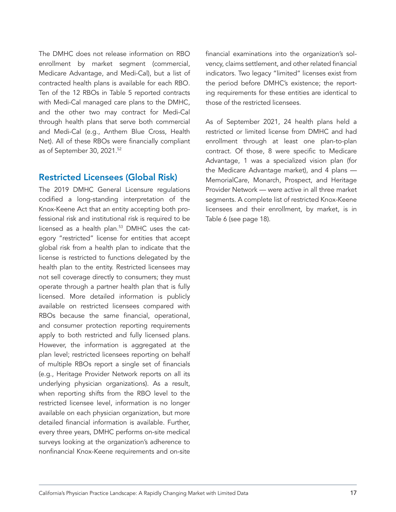<span id="page-16-0"></span>The DMHC does not release information on RBO enrollment by market segment (commercial, Medicare Advantage, and Medi-Cal), but a list of contracted health plans is available for each RBO. Ten of the 12 RBOs in Table 5 reported contracts with Medi-Cal managed care plans to the DMHC, and the other two may contract for Medi-Cal through health plans that serve both commercial and Medi-Cal (e.g., Anthem Blue Cross, Health Net). All of these RBOs were financially compliant as of September 30, 2021.<sup>52</sup>

### Restricted Licensees (Global Risk)

The 2019 DMHC General Licensure regulations codified a long-standing interpretation of the Knox-Keene Act that an entity accepting both professional risk and institutional risk is required to be licensed as a health plan.<sup>53</sup> DMHC uses the category "restricted" license for entities that accept global risk from a health plan to indicate that the license is restricted to functions delegated by the health plan to the entity. Restricted licensees may not sell coverage directly to consumers; they must operate through a partner health plan that is fully licensed. More detailed information is publicly available on restricted licensees compared with RBOs because the same financial, operational, and consumer protection reporting requirements apply to both restricted and fully licensed plans. However, the information is aggregated at the plan level; restricted licensees reporting on behalf of multiple RBOs report a single set of financials (e.g., Heritage Provider Network reports on all its underlying physician organizations). As a result, when reporting shifts from the RBO level to the restricted licensee level, information is no longer available on each physician organization, but more detailed financial information is available. Further, every three years, DMHC performs on-site medical surveys looking at the organization's adherence to nonfinancial Knox-Keene requirements and on-site

financial examinations into the organization's solvency, claims settlement, and other related financial indicators. Two legacy "limited" licenses exist from the period before DMHC's existence; the reporting requirements for these entities are identical to those of the restricted licensees.

As of September 2021, 24 health plans held a restricted or limited license from DMHC and had enrollment through at least one plan-to-plan contract. Of those, 8 were specific to Medicare Advantage, 1 was a specialized vision plan (for the Medicare Advantage market), and 4 plans — MemorialCare, Monarch, Prospect, and Heritage Provider Network — were active in all three market segments. A complete list of restricted Knox-Keene licensees and their enrollment, by market, is in Table 6 (see page 18).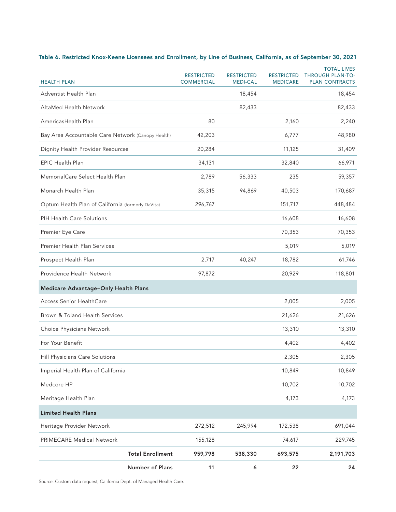### Table 6. Restricted Knox-Keene Licensees and Enrollment, by Line of Business, California, as of September 30, 2021

| <b>HEALTH PLAN</b>                                | <b>RESTRICTED</b><br><b>COMMERCIAL</b> | <b>RESTRICTED</b><br><b>MEDI-CAL</b> | RESTRICTED<br><b>MEDICARE</b> | <b>TOTAL LIVES</b><br><b>THROUGH PLAN-TO-</b><br><b>PLAN CONTRACTS</b> |
|---------------------------------------------------|----------------------------------------|--------------------------------------|-------------------------------|------------------------------------------------------------------------|
| Adventist Health Plan                             |                                        | 18,454                               |                               | 18,454                                                                 |
| AltaMed Health Network                            |                                        | 82,433                               |                               | 82,433                                                                 |
| AmericasHealth Plan                               | 80                                     |                                      | 2,160                         | 2,240                                                                  |
| Bay Area Accountable Care Network (Canopy Health) | 42,203                                 |                                      | 6,777                         | 48,980                                                                 |
| Dignity Health Provider Resources                 | 20,284                                 |                                      | 11,125                        | 31,409                                                                 |
| <b>EPIC Health Plan</b>                           | 34,131                                 |                                      | 32,840                        | 66,971                                                                 |
| MemorialCare Select Health Plan                   | 2,789                                  | 56,333                               | 235                           | 59,357                                                                 |
| Monarch Health Plan                               | 35,315                                 | 94,869                               | 40,503                        | 170,687                                                                |
| Optum Health Plan of California (formerly DaVita) | 296,767                                |                                      | 151,717                       | 448,484                                                                |
| PIH Health Care Solutions                         |                                        |                                      | 16,608                        | 16,608                                                                 |
| Premier Eye Care                                  |                                        |                                      | 70,353                        | 70,353                                                                 |
| Premier Health Plan Services                      |                                        |                                      | 5,019                         | 5,019                                                                  |
| Prospect Health Plan                              | 2,717                                  | 40,247                               | 18,782                        | 61,746                                                                 |
| Providence Health Network                         | 97,872                                 |                                      | 20,929                        | 118,801                                                                |
| Medicare Advantage-Only Health Plans              |                                        |                                      |                               |                                                                        |
| Access Senior HealthCare                          |                                        |                                      | 2,005                         | 2,005                                                                  |
| Brown & Toland Health Services                    |                                        |                                      | 21,626                        | 21,626                                                                 |
| Choice Physicians Network                         |                                        |                                      | 13,310                        | 13,310                                                                 |
| For Your Benefit                                  |                                        |                                      | 4,402                         | 4,402                                                                  |
| Hill Physicians Care Solutions                    |                                        |                                      | 2,305                         | 2,305                                                                  |
| Imperial Health Plan of California                |                                        |                                      | 10,849                        | 10,849                                                                 |
| Medcore HP                                        |                                        |                                      | 10,702                        | 10,702                                                                 |
| Meritage Health Plan                              |                                        |                                      | 4,173                         | 4,173                                                                  |
| <b>Limited Health Plans</b>                       |                                        |                                      |                               |                                                                        |
| Heritage Provider Network                         | 272,512                                | 245,994                              | 172,538                       | 691,044                                                                |
| PRIMECARE Medical Network                         | 155,128                                |                                      | 74,617                        | 229,745                                                                |
| <b>Total Enrollment</b>                           | 959,798                                | 538,330                              | 693,575                       | 2,191,703                                                              |
| Number of Plans                                   | 11                                     | 6                                    | 22                            | 24                                                                     |

Source: Custom data request, California Dept. of Managed Health Care.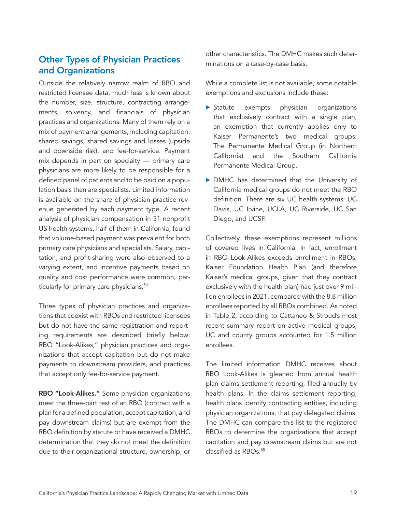## <span id="page-18-0"></span>Other Types of Physician Practices and Organizations

Outside the relatively narrow realm of RBO and restricted licensee data, much less is known about the number, size, structure, contracting arrangements, solvency, and financials of physician practices and organizations. Many of them rely on a mix of payment arrangements, including capitation, shared savings, shared savings and losses (upside and downside risk), and fee-for-service. Payment mix depends in part on specialty — primary care physicians are more likely to be responsible for a defined panel of patients and to be paid on a population basis than are specialists. Limited information is available on the share of physician practice revenue generated by each payment type. A recent analysis of physician compensation in 31 nonprofit US health systems, half of them in California, found that volume-based payment was prevalent for both primary care physicians and specialists. Salary, capitation, and profit-sharing were also observed to a varying extent, and incentive payments based on quality and cost performance were common, particularly for primary care physicians.<sup>54</sup>

Three types of physician practices and organizations that coexist with RBOs and restricted licensees but do not have the same registration and reporting requirements are described briefly below: RBO "Look-Alikes," physician practices and organizations that accept capitation but do not make payments to downstream providers, and practices that accept only fee-for-service payment.

RBO "Look-Alikes." Some physician organizations meet the three-part test of an RBO (contract with a plan for a defined population, accept capitation, and pay downstream claims) but are exempt from the RBO definition by statute or have received a DMHC determination that they do not meet the definition due to their organizational structure, ownership, or other characteristics. The DMHC makes such determinations on a case-by-case basis.

While a complete list is not available, some notable exemptions and exclusions include these:

- $\triangleright$  Statute exempts physician organizations that exclusively contract with a single plan, an exemption that currently applies only to Kaiser Permanente's two medical groups: The Permanente Medical Group (in Northern California) and the Southern California Permanente Medical Group.
- **> DMHC** has determined that the University of California medical groups do not meet the RBO definition. There are six UC health systems: UC Davis, UC Irvine, UCLA, UC Riverside, UC San Diego, and UCSF.

Collectively, these exemptions represent millions of covered lives in California. In fact, enrollment in RBO Look-Alikes exceeds enrollment in RBOs. Kaiser Foundation Health Plan (and therefore Kaiser's medical groups, given that they contract exclusively with the health plan) had just over 9 million enrollees in 2021, compared with the 8.8 million enrollees reported by all RBOs combined. As noted in Table 2, according to Cattaneo & Stroud's most recent summary report on active medical groups, UC and county groups accounted for 1.5 million enrollees.

The limited information DMHC receives about RBO Look-Alikes is gleaned from annual health plan claims settlement reporting, filed annually by health plans. In the claims settlement reporting, health plans identify contracting entities, including physician organizations, that pay delegated claims. The DMHC can compare this list to the registered RBOs to determine the organizations that accept capitation and pay downstream claims but are not classified as RBOs.<sup>55</sup>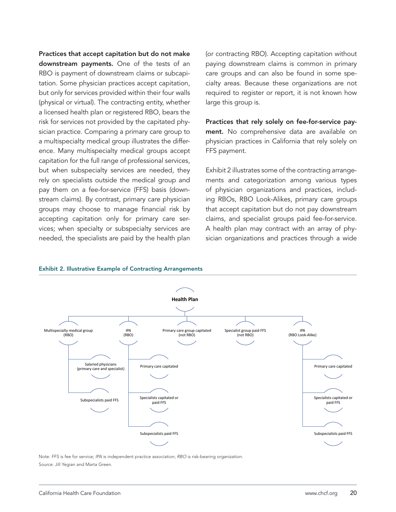Practices that accept capitation but do not make downstream payments. One of the tests of an RBO is payment of downstream claims or subcapitation. Some physician practices accept capitation, but only for services provided within their four walls (physical or virtual). The contracting entity, whether a licensed health plan or registered RBO, bears the risk for services not provided by the capitated physician practice. Comparing a primary care group to a multispecialty medical group illustrates the difference. Many multispecialty medical groups accept capitation for the full range of professional services, but when subspecialty services are needed, they rely on specialists outside the medical group and pay them on a fee-for-service (FFS) basis (downstream claims). By contrast, primary care physician groups may choose to manage financial risk by accepting capitation only for primary care services; when specialty or subspecialty services are needed, the specialists are paid by the health plan

(or contracting RBO). Accepting capitation without paying downstream claims is common in primary care groups and can also be found in some specialty areas. Because these organizations are not required to register or report, it is not known how large this group is.

Practices that rely solely on fee-for-service payment. No comprehensive data are available on physician practices in California that rely solely on FFS payment.

Exhibit 2 illustrates some of the contracting arrangements and categorization among various types of physician organizations and practices, including RBOs, RBO Look-Alikes, primary care groups that accept capitation but do not pay downstream claims, and specialist groups paid fee-for-service. A health plan may contract with an array of physician organizations and practices through a wide



Exhibit 2. Illustrative Example of Contracting Arrangements

Note: *FFS* is fee for service; *IPA* is independent practice association; *RBO* is risk-bearing organization. Source: Jill Yegian and Marta Green.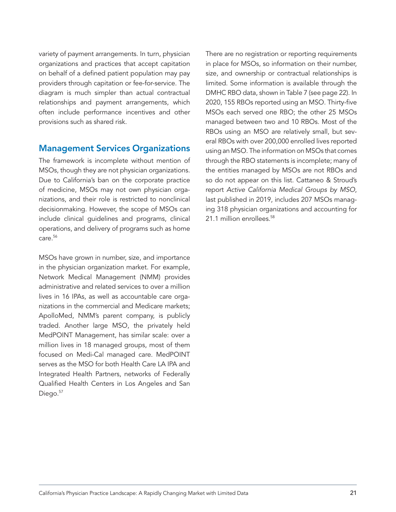<span id="page-20-0"></span>variety of payment arrangements. In turn, physician organizations and practices that accept capitation on behalf of a defined patient population may pay providers through capitation or fee-for-service. The diagram is much simpler than actual contractual relationships and payment arrangements, which often include performance incentives and other provisions such as shared risk.

### Management Services Organizations

The framework is incomplete without mention of MSOs, though they are not physician organizations. Due to California's ban on the corporate practice of medicine, MSOs may not own physician organizations, and their role is restricted to nonclinical decisionmaking. However, the scope of MSOs can include clinical guidelines and programs, clinical operations, and delivery of programs such as home care.56

MSOs have grown in number, size, and importance in the physician organization market. For example, Network Medical Management (NMM) provides administrative and related services to over a million lives in 16 IPAs, as well as accountable care organizations in the commercial and Medicare markets; ApolloMed, NMM's parent company, is publicly traded. Another large MSO, the privately held MedPOINT Management, has similar scale: over a million lives in 18 managed groups, most of them focused on Medi-Cal managed care. MedPOINT serves as the MSO for both Health Care LA IPA and Integrated Health Partners, networks of Federally Qualified Health Centers in Los Angeles and San Diego.<sup>57</sup>

There are no registration or reporting requirements in place for MSOs, so information on their number, size, and ownership or contractual relationships is limited. Some information is available through the DMHC RBO data, shown in Table 7 (see page 22). In 2020, 155 RBOs reported using an MSO. Thirty-five MSOs each served one RBO; the other 25 MSOs managed between two and 10 RBOs. Most of the RBOs using an MSO are relatively small, but several RBOs with over 200,000 enrolled lives reported using an MSO. The information on MSOs that comes through the RBO statements is incomplete; many of the entities managed by MSOs are not RBOs and so do not appear on this list. Cattaneo & Stroud's report *Active California Medical Groups by MSO*, last published in 2019, includes 207 MSOs managing 318 physician organizations and accounting for 21.1 million enrollees.<sup>58</sup>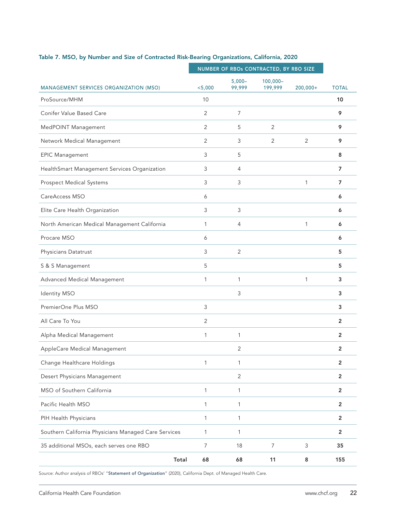|                                                      | NUMBER OF RBOs CONTRACTED, BY RBO SIZE |                     |                        |                |                |
|------------------------------------------------------|----------------------------------------|---------------------|------------------------|----------------|----------------|
| MANAGEMENT SERVICES ORGANIZATION (MSO)               | $<$ 5,000                              | $5,000 -$<br>99,999 | $100,000 -$<br>199,999 | $200,000+$     | <b>TOTAL</b>   |
| ProSource/MHM                                        | 10                                     |                     |                        |                | 10             |
| Conifer Value Based Care                             | 2                                      | 7                   |                        |                | 9              |
| MedPOINT Management                                  | $\overline{2}$                         | 5                   | 2                      |                | 9              |
| Network Medical Management                           | 2                                      | 3                   | 2                      | $\overline{2}$ | 9              |
| <b>EPIC Management</b>                               | 3                                      | 5                   |                        |                | 8              |
| HealthSmart Management Services Organization         | 3                                      | 4                   |                        |                | 7              |
| <b>Prospect Medical Systems</b>                      | 3                                      | 3                   |                        | 1              | 7              |
| CareAccess MSO                                       | 6                                      |                     |                        |                | 6              |
| Elite Care Health Organization                       | 3                                      | 3                   |                        |                | 6              |
| North American Medical Management California         | 1                                      | 4                   |                        | 1              | 6              |
| Procare MSO                                          | 6                                      |                     |                        |                | 6              |
| Physicians Datatrust                                 | 3                                      | 2                   |                        |                | 5              |
| S & S Management                                     | 5                                      |                     |                        |                | 5              |
| Advanced Medical Management                          | 1                                      | 1                   |                        | 1              | 3              |
| <b>Identity MSO</b>                                  |                                        | 3                   |                        |                | 3              |
| PremierOne Plus MSO                                  | 3                                      |                     |                        |                | 3              |
| All Care To You                                      | 2                                      |                     |                        |                | $\overline{2}$ |
| Alpha Medical Management                             | 1                                      | 1                   |                        |                | $\overline{2}$ |
| AppleCare Medical Management                         |                                        | 2                   |                        |                | 2              |
| Change Healthcare Holdings                           | 1                                      | 1                   |                        |                | $\overline{2}$ |
| Desert Physicians Management                         |                                        | $\overline{2}$      |                        |                | $\overline{2}$ |
| MSO of Southern California                           | 1                                      | 1                   |                        |                | $\mathbf 2$    |
| Pacific Health MSO                                   | 1                                      | 1                   |                        |                | $\overline{2}$ |
| PIH Health Physicians                                | 1                                      | $\mathbf{1}$        |                        |                | $\mathbf 2$    |
| Southern California Physicians Managed Care Services | 1                                      | 1                   |                        |                | $\overline{2}$ |
| 35 additional MSOs, each serves one RBO              | $\overline{7}$                         | 18                  | $\overline{7}$         | 3              | 35             |
| Total                                                | 68                                     | 68                  | 11                     | 8              | 155            |

### Table 7. MSO, by Number and Size of Contracted Risk-Bearing Organizations, California, 2020

Source: Author analysis of RBOs' "[Statement of Organization](https://wpso.dmhc.ca.gov/ProviderReports/statorg.aspx)" (2020), California Dept. of Managed Health Care.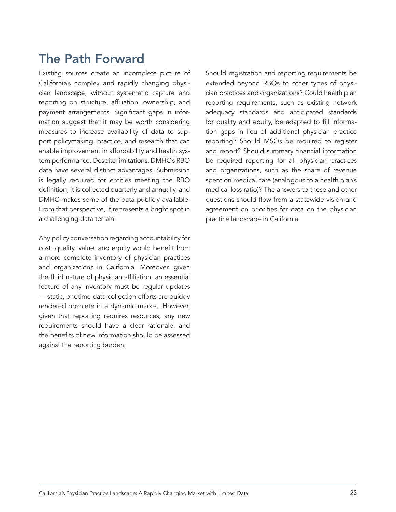# <span id="page-22-0"></span>The Path Forward

Existing sources create an incomplete picture of California's complex and rapidly changing physician landscape, without systematic capture and reporting on structure, affiliation, ownership, and payment arrangements. Significant gaps in information suggest that it may be worth considering measures to increase availability of data to support policymaking, practice, and research that can enable improvement in affordability and health system performance. Despite limitations, DMHC's RBO data have several distinct advantages: Submission is legally required for entities meeting the RBO definition, it is collected quarterly and annually, and DMHC makes some of the data publicly available. From that perspective, it represents a bright spot in a challenging data terrain.

Any policy conversation regarding accountability for cost, quality, value, and equity would benefit from a more complete inventory of physician practices and organizations in California. Moreover, given the fluid nature of physician affiliation, an essential feature of any inventory must be regular updates — static, onetime data collection efforts are quickly rendered obsolete in a dynamic market. However, given that reporting requires resources, any new requirements should have a clear rationale, and the benefits of new information should be assessed against the reporting burden.

Should registration and reporting requirements be extended beyond RBOs to other types of physician practices and organizations? Could health plan reporting requirements, such as existing network adequacy standards and anticipated standards for quality and equity, be adapted to fill information gaps in lieu of additional physician practice reporting? Should MSOs be required to register and report? Should summary financial information be required reporting for all physician practices and organizations, such as the share of revenue spent on medical care (analogous to a health plan's medical loss ratio)? The answers to these and other questions should flow from a statewide vision and agreement on priorities for data on the physician practice landscape in California.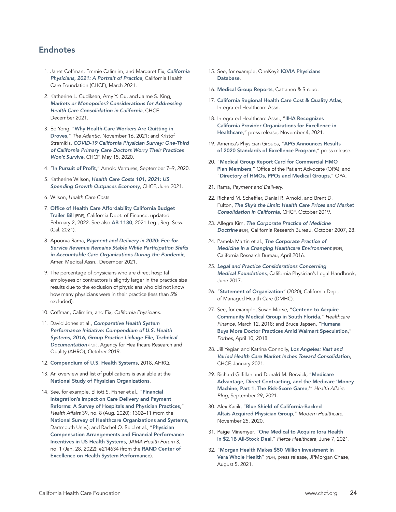### <span id="page-23-0"></span>**Endnotes**

- 1. Janet Coffman, Emmie Calimlim, and Margaret Fix, *[California](https://www.chcf.org/publication/2021-edition-california-physicians/)  [Physicians, 2021: A Portrait of Practice](https://www.chcf.org/publication/2021-edition-california-physicians/)*, California Health Care Foundation (CHCF), March 2021.
- 2. Katherine L. Gudiksen, Amy Y. Gu, and Jaime S. King, *[Markets or Monopolies? Considerations for Addressing](https://www.chcf.org/publication/markets-monopolies-health-care-consolidation-california/)  [Health Care Consolidation in California](https://www.chcf.org/publication/markets-monopolies-health-care-consolidation-california/)*, CHCF, December 2021.
- 3. Ed Yong, "[Why Health-Care Workers Are Quitting in](https://www.theatlantic.com/health/archive/2021/11/the-mass-exodus-of-americas-health-care-workers/620713/)  [Droves](https://www.theatlantic.com/health/archive/2021/11/the-mass-exodus-of-americas-health-care-workers/620713/)," *The Atlantic*, November 16, 2021; and Kristof Stremikis, *[COVID-19 California Physician Survey: One-Third](https://www.chcf.org/blog/covid-19-tracking-poll-one-third-california-primary-care-doctors-worry-their-practices-wont-survive/)  [of California Primary Care Doctors Worry Their Practices](https://www.chcf.org/blog/covid-19-tracking-poll-one-third-california-primary-care-doctors-worry-their-practices-wont-survive/)  [Won't Survive](https://www.chcf.org/blog/covid-19-tracking-poll-one-third-california-primary-care-doctors-worry-their-practices-wont-survive/)*, CHCF, May 15, 2020.
- 4. "[In Pursuit of Profit](https://www.arnoldventures.org/in-pursuit-of-profit)," Arnold Ventures, September 7–9, 2020.
- 5. Katherine Wilson, *[Health Care Costs 101, 2021: US](https://www.chcf.org/publication/2021-edition-health-care-costs-101/)  [Spending Growth Outpaces Economy](https://www.chcf.org/publication/2021-edition-health-care-costs-101/)*, CHCF, June 2021.
- 6. Wilson, *Health Care Costs*.
- 7. [Office of Health Care Affordability California Budget](https://esd.dof.ca.gov/trailer-bill/public/trailerBill/pdf/578)  [Trailer Bill](https://esd.dof.ca.gov/trailer-bill/public/trailerBill/pdf/578) (PDF), California Dept. of Finance, updated February 2, 2022. See also [AB 1130](https://leginfo.legislature.ca.gov/faces/billNavClient.xhtml?bill_id=202120220AB1130), 2021 Leg., Reg. Sess. (Cal. 2021).
- 8. Apoorva Rama, *[Payment and Delivery in 2020: Fee-for-](https://www.ama-assn.org/about/research/physician-practice-benchmark-survey)[Service Revenue Remains Stable While Participation Shifts](https://www.ama-assn.org/about/research/physician-practice-benchmark-survey)  [in Accountable Care Organizations During the Pandemic](https://www.ama-assn.org/about/research/physician-practice-benchmark-survey)*, Amer. Medical Assn., December 2021.
- 9. The percentage of physicians who are direct hospital employees or contractors is slightly larger in the practice size results due to the exclusion of physicians who did not know how many physicians were in their practice (less than 5% excluded).
- 10. Coffman, Calimlim, and Fix, *California Physicians*.
- 11. David Jones et al., *[Comparative Health System](https://www.ahrq.gov/sites/default/files/wysiwyg/chsp/compendium/chsp-tin-linkage-file-tech-doc.pdf)  [Performance Initiative: Compendium of U.S. Health](https://www.ahrq.gov/sites/default/files/wysiwyg/chsp/compendium/chsp-tin-linkage-file-tech-doc.pdf)  [Systems, 2016, Group Practice Linkage File, Technical](https://www.ahrq.gov/sites/default/files/wysiwyg/chsp/compendium/chsp-tin-linkage-file-tech-doc.pdf)  [Documentation](https://www.ahrq.gov/sites/default/files/wysiwyg/chsp/compendium/chsp-tin-linkage-file-tech-doc.pdf)* (PDF), Agency for Healthcare Research and Quality (AHRQ), October 2019.
- 12. [Compendium of U.S. Health Systems](https://www.ahrq.gov/chsp/data-resources/compendium-2018.html), 2018, AHRQ.
- 13. An overview and list of publications is available at the [National Study of Physician Organizations](http://nspo.berkeley.edu/Index.htm).
- 14. See, for example, Elliott S. Fisher et al., "Financial [Integration's Impact on Care Delivery and Payment](https://doi.org/10.1377/hlthaff.2019.01813)  [Reforms: A Survey of Hospitals and Physician Practices](https://doi.org/10.1377/hlthaff.2019.01813)," *Health Affairs* 39, no. 8 (Aug. 2020): 1302–11 (from the [National Survey of Healthcare Organizations and Systems](https://sites.dartmouth.edu/coe/nshos/), Dartmouth Univ.); and Rachel O. Reid et al., "[Physician](https://doi.org/10.1001/jamahealthforum.2021.4634)  [Compensation Arrangements and Financial Performance](https://doi.org/10.1001/jamahealthforum.2021.4634)  [Incentives in US Health Systems](https://doi.org/10.1001/jamahealthforum.2021.4634), *JAMA Health Forum* 3, no. 1 (Jan. 28, 2022): e214634 (from the [RAND Center of](https://www.rand.org/health-care/centers/health-system-performance.html)  [Excellence on Health System Performance](https://www.rand.org/health-care/centers/health-system-performance.html)).
- 15. See, for example, OneKey's IQVIA Physicians [Database](https://www.onekeydata.com/databases#physicians).
- 16. [Medical Group Reports](http://cattaneostroud.com/what-we-do/medical-group-reports), Cattaneo & Stroud.
- 17. [California Regional Health Care Cost & Quality Atlas](https://atlas.iha.org/), Integrated Healthcare Assn.
- 18. Integrated Healthcare Assn., "[IIHA Recognizes](https://iha.org/news-events/iha-excellence-in-healthcare-awards-california/)  [California Provider Organizations for Excellence in](https://iha.org/news-events/iha-excellence-in-healthcare-awards-california/)  [Healthcare](https://iha.org/news-events/iha-excellence-in-healthcare-awards-california/)," press release, November 4, 2021.
- 19. America's Physician Groups, "[APG Announces Results](https://www.apg.org/news/apg-announces-results-of-2020-standards-of-excellence-program/)  [of 2020 Standards of Excellence Program](https://www.apg.org/news/apg-announces-results-of-2020-standards-of-excellence-program/)," press release.
- 20. "[Medical Group Report Card for Commercial HMO](https://reportcard.opa.ca.gov/rc/medicalgroupcounty.aspx)  [Plan Members](https://reportcard.opa.ca.gov/rc/medicalgroupcounty.aspx)," Office of the Patient Advocate (OPA); and "[Directory of HMOs, PPOs and Medical Groups](https://reportcard.opa.ca.gov/rc/directory.aspx)," OPA.
- 21. Rama, *Payment and Delivery*.
- 22. Richard M. Scheffler, Danial R. Arnold, and Brent D. Fulton, *[The Sky's the Limit: Health Care Prices and Market](https://www.chcf.org/publication/the-skys-the-limit/)  [Consolidation in California](https://www.chcf.org/publication/the-skys-the-limit/)*, CHCF, October 2019.
- 23. Allegra Kim, *[The Corporate Practice of Medicine](https://sbp.senate.ca.gov/sites/sbp.senate.ca.gov/files/CRB 2007 CPM Report.pdf)  [Doctrine](https://sbp.senate.ca.gov/sites/sbp.senate.ca.gov/files/CRB 2007 CPM Report.pdf)* (PDF), California Research Bureau, October 2007, 28.
- 24. Pamela Martin et al., *[The Corporate Practice of](https://sbp.senate.ca.gov/sites/sbp.senate.ca.gov/files/CRB 2016 CPM Report.pdf)  [Medicine in a Changing Healthcare Environment](https://sbp.senate.ca.gov/sites/sbp.senate.ca.gov/files/CRB 2016 CPM Report.pdf)* (PDF), California Research Bureau, April 2016.
- 25. *[Legal and Practice Considerations Concerning](https://www.cplh.org/document-library/detail/productcd/0305/t/legal-and-practical-considerations-concerning-medical-foundations)  [Medical Foundations](https://www.cplh.org/document-library/detail/productcd/0305/t/legal-and-practical-considerations-concerning-medical-foundations)*, California Physician's Legal Handbook, June 2017.
- 26. "[Statement of Organization](https://wpso.dmhc.ca.gov/ProviderReports/statorg.aspx#MainContent_MainContent_gvReports_fn1-rf-1_80)" (2020), California Dept. of Managed Health Care (DMHC).
- 27. See, for example, Susan Morse, "Centene to Acquire [Community Medical Group in South Florida](https://www.healthcarefinancenews.com/news/centene-acquire-community-medical-group-south-florida)," *Healthcare Finance*, March 12, 2018; and Bruce Japsen, "[Humana](https://www.forbes.com/sites/brucejapsen/2018/04/10/humana-buys-more-doctor-practices-amid-walmart-speculation/?sh=76a04ac074dc)  [Buys More Doctor Practices Amid Walmart Speculation](https://www.forbes.com/sites/brucejapsen/2018/04/10/humana-buys-more-doctor-practices-amid-walmart-speculation/?sh=76a04ac074dc)," *Forbes*, April 10, 2018.
- 28. Jill Yegian and Katrina Connolly, *[Los Angeles: Vast and](https://www.chcf.org/publication/los-angeles-vast-varied-health-care-market-inches-toward-consolidation/)  [Varied Health Care Market Inches Toward Consolidation](https://www.chcf.org/publication/los-angeles-vast-varied-health-care-market-inches-toward-consolidation/)*, CHCF, January 2021.
- 29. Richard Gilfillan and Donald M. Berwick, "[Medicare](https://www.healthaffairs.org/do/10.1377/forefront.20210927.6239)  [Advantage, Direct Contracting, and the Medicare 'Money](https://www.healthaffairs.org/do/10.1377/forefront.20210927.6239)  [Machine, Part 1: The Risk-Score Game](https://www.healthaffairs.org/do/10.1377/forefront.20210927.6239),'" *Health Affairs Blog*, September 29, 2021.
- 30. Alex Kacik, "[Blue Shield of California-Backed](https://www.modernhealthcare.com/mergers-acquisitions/blue-shield-california-backed-altais-acquires-physician-group)  [Altais Acquired Physician Group](https://www.modernhealthcare.com/mergers-acquisitions/blue-shield-california-backed-altais-acquires-physician-group)," *Modern Healthcare*, November 25, 2020.
- 31. Paige Minemyer, "[One Medical to Acquire Iora Health](https://www.fiercehealthcare.com/practices/one-medical-to-acquire-iora-health-2-1b-all-stock-deal)  [in \\$2.1B All-Stock Deal](https://www.fiercehealthcare.com/practices/one-medical-to-acquire-iora-health-2-1b-all-stock-deal)," *Fierce Healthcare*, June 7, 2021.
- 32. "[Morgan Health Makes \\$50 Million Investment in](https://www.jpmorganchase.com/content/dam/jpmc/jpmorgan-chase-and-co/documents/MorganHealth.Vera.8.5.21.FINAL.pdf)  [Vera Whole Health](https://www.jpmorganchase.com/content/dam/jpmc/jpmorgan-chase-and-co/documents/MorganHealth.Vera.8.5.21.FINAL.pdf)" (PDF), press release, JPMorgan Chase, August 5, 2021.